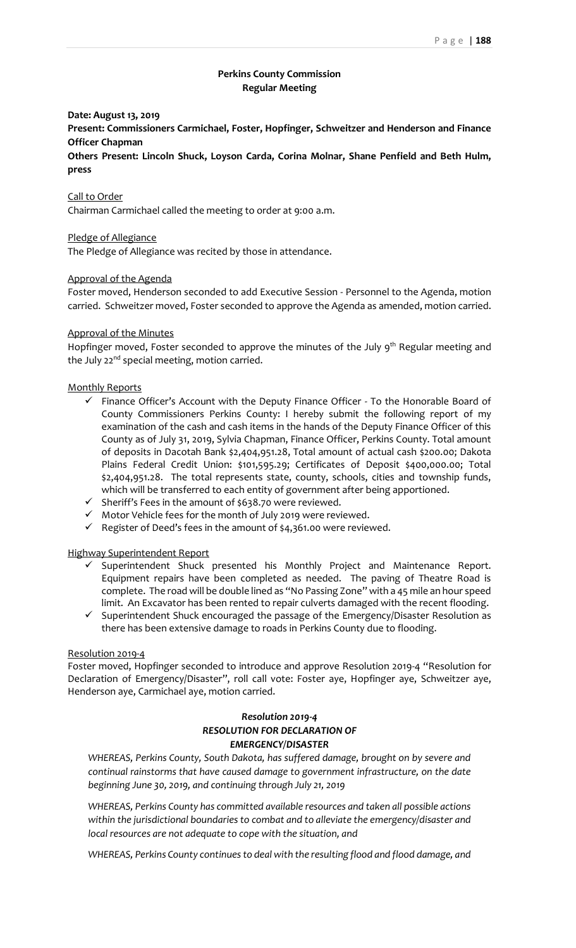# **Perkins County Commission Regular Meeting**

## **Date: August 13, 2019**

**Present: Commissioners Carmichael, Foster, Hopfinger, Schweitzer and Henderson and Finance Officer Chapman**

**Others Present: Lincoln Shuck, Loyson Carda, Corina Molnar, Shane Penfield and Beth Hulm, press** 

### Call to Order

Chairman Carmichael called the meeting to order at 9:00 a.m.

### Pledge of Allegiance

The Pledge of Allegiance was recited by those in attendance.

### Approval of the Agenda

Foster moved, Henderson seconded to add Executive Session - Personnel to the Agenda, motion carried. Schweitzer moved, Foster seconded to approve the Agenda as amended, motion carried.

#### Approval of the Minutes

Hopfinger moved, Foster seconded to approve the minutes of the July 9<sup>th</sup> Regular meeting and the July  $22^{nd}$  special meeting, motion carried.

#### Monthly Reports

- $\checkmark$  Finance Officer's Account with the Deputy Finance Officer To the Honorable Board of County Commissioners Perkins County: I hereby submit the following report of my examination of the cash and cash items in the hands of the Deputy Finance Officer of this County as of July 31, 2019, Sylvia Chapman, Finance Officer, Perkins County. Total amount of deposits in Dacotah Bank \$2,404,951.28, Total amount of actual cash \$200.00; Dakota Plains Federal Credit Union: \$101,595.29; Certificates of Deposit \$400,000.00; Total \$2,404,951.28. The total represents state, county, schools, cities and township funds, which will be transferred to each entity of government after being apportioned.
- ✓ Sheriff's Fees in the amount of \$638.70 were reviewed.
- ✓ Motor Vehicle fees for the month of July 2019 were reviewed.
- $\checkmark$  Register of Deed's fees in the amount of \$4,361.00 were reviewed.

Highway Superintendent Report

- Superintendent Shuck presented his Monthly Project and Maintenance Report. Equipment repairs have been completed as needed. The paving of Theatre Road is complete. The road will be double lined as "No Passing Zone" with a 45 mile an hour speed limit. An Excavator has been rented to repair culverts damaged with the recent flooding.
- ✓ Superintendent Shuck encouraged the passage of the Emergency/Disaster Resolution as there has been extensive damage to roads in Perkins County due to flooding.

### Resolution 2019-4

Foster moved, Hopfinger seconded to introduce and approve Resolution 2019-4 "Resolution for Declaration of Emergency/Disaster", roll call vote: Foster aye, Hopfinger aye, Schweitzer aye, Henderson aye, Carmichael aye, motion carried.

# *Resolution 2019-4 RESOLUTION FOR DECLARATION OF EMERGENCY/DISASTER*

*WHEREAS, Perkins County, South Dakota, has suffered damage, brought on by severe and continual rainstorms that have caused damage to government infrastructure, on the date beginning June 30, 2019, and continuing through July 21, 2019*

*WHEREAS, Perkins County has committed available resources and taken all possible actions within the jurisdictional boundaries to combat and to alleviate the emergency/disaster and local resources are not adequate to cope with the situation, and*

*WHEREAS, Perkins County continues to deal with the resulting flood and flood damage, and*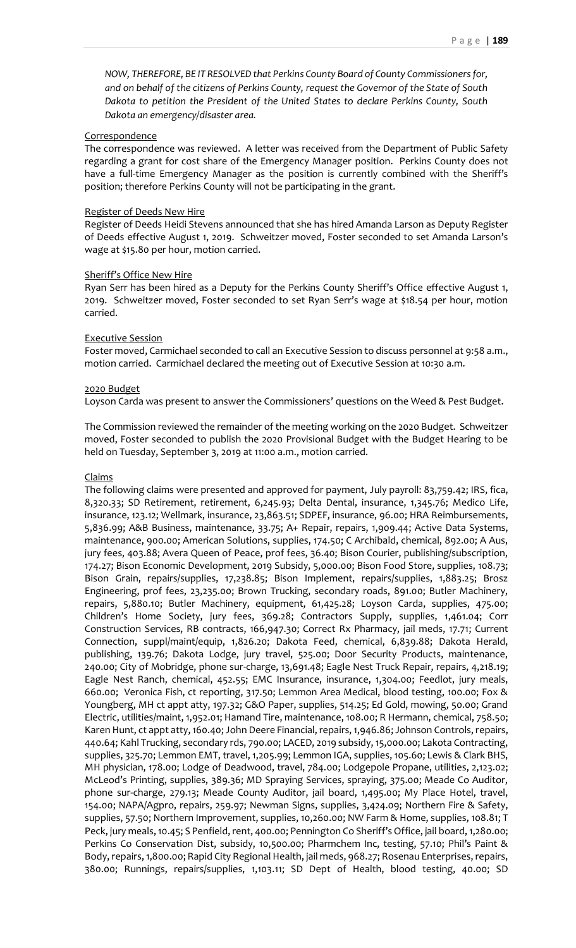### **Correspondence**

The correspondence was reviewed. A letter was received from the Department of Public Safety regarding a grant for cost share of the Emergency Manager position. Perkins County does not have a full-time Emergency Manager as the position is currently combined with the Sheriff's position; therefore Perkins County will not be participating in the grant.

### Register of Deeds New Hire

Register of Deeds Heidi Stevens announced that she has hired Amanda Larson as Deputy Register of Deeds effective August 1, 2019. Schweitzer moved, Foster seconded to set Amanda Larson's wage at \$15.80 per hour, motion carried.

### Sheriff's Office New Hire

Ryan Serr has been hired as a Deputy for the Perkins County Sheriff's Office effective August 1, 2019. Schweitzer moved, Foster seconded to set Ryan Serr's wage at \$18.54 per hour, motion carried.

### Executive Session

Foster moved, Carmichael seconded to call an Executive Session to discuss personnel at 9:58 a.m., motion carried. Carmichael declared the meeting out of Executive Session at 10:30 a.m.

### 2020 Budget

Loyson Carda was present to answer the Commissioners' questions on the Weed & Pest Budget.

The Commission reviewed the remainder of the meeting working on the 2020 Budget. Schweitzer moved, Foster seconded to publish the 2020 Provisional Budget with the Budget Hearing to be held on Tuesday, September 3, 2019 at 11:00 a.m., motion carried.

## Claims

The following claims were presented and approved for payment, July payroll: 83,759.42; IRS, fica, 8,320.33; SD Retirement, retirement, 6,245.93; Delta Dental, insurance, 1,345.76; Medico Life, insurance, 123.12; Wellmark, insurance, 23,863.51; SDPEF, insurance, 96.00; HRA Reimbursements, 5,836.99; A&B Business, maintenance, 33.75; A+ Repair, repairs, 1,909.44; Active Data Systems, maintenance, 900.00; American Solutions, supplies, 174.50; C Archibald, chemical, 892.00; A Aus, jury fees, 403.88; Avera Queen of Peace, prof fees, 36.40; Bison Courier, publishing/subscription, 174.27; Bison Economic Development, 2019 Subsidy, 5,000.00; Bison Food Store, supplies, 108.73; Bison Grain, repairs/supplies, 17,238.85; Bison Implement, repairs/supplies, 1,883.25; Brosz Engineering, prof fees, 23,235.00; Brown Trucking, secondary roads, 891.00; Butler Machinery, repairs, 5,880.10; Butler Machinery, equipment, 61,425.28; Loyson Carda, supplies, 475.00; Children's Home Society, jury fees, 369.28; Contractors Supply, supplies, 1,461.04; Corr Construction Services, RB contracts, 166,947.30; Correct Rx Pharmacy, jail meds, 17.71; Current Connection, suppl/maint/equip, 1,826.20; Dakota Feed, chemical, 6,839.88; Dakota Herald, publishing, 139.76; Dakota Lodge, jury travel, 525.00; Door Security Products, maintenance, 240.00; City of Mobridge, phone sur-charge, 13,691.48; Eagle Nest Truck Repair, repairs, 4,218.19; Eagle Nest Ranch, chemical, 452.55; EMC Insurance, insurance, 1,304.00; Feedlot, jury meals, 660.00; Veronica Fish, ct reporting, 317.50; Lemmon Area Medical, blood testing, 100.00; Fox & Youngberg, MH ct appt atty, 197.32; G&O Paper, supplies, 514.25; Ed Gold, mowing, 50.00; Grand Electric, utilities/maint, 1,952.01; Hamand Tire, maintenance, 108.00; R Hermann, chemical, 758.50; Karen Hunt, ct appt atty, 160.40; John Deere Financial, repairs, 1,946.86; Johnson Controls, repairs, 440.64; Kahl Trucking, secondary rds, 790.00; LACED, 2019 subsidy, 15,000.00; Lakota Contracting, supplies, 325.70; Lemmon EMT, travel, 1,205.99; Lemmon IGA, supplies, 105.60; Lewis & Clark BHS, MH physician, 178.00; Lodge of Deadwood, travel, 784.00; Lodgepole Propane, utilities, 2,123.02; McLeod's Printing, supplies, 389.36; MD Spraying Services, spraying, 375.00; Meade Co Auditor, phone sur-charge, 279.13; Meade County Auditor, jail board, 1,495.00; My Place Hotel, travel, 154.00; NAPA/Agpro, repairs, 259.97; Newman Signs, supplies, 3,424.09; Northern Fire & Safety, supplies, 57.50; Northern Improvement, supplies, 10,260.00; NW Farm & Home, supplies, 108.81; T Peck, jury meals, 10.45; S Penfield, rent, 400.00; Pennington Co Sheriff's Office, jail board, 1,280.00; Perkins Co Conservation Dist, subsidy, 10,500.00; Pharmchem Inc, testing, 57.10; Phil's Paint & Body, repairs, 1,800.00; Rapid City Regional Health, jail meds, 968.27; Rosenau Enterprises, repairs, 380.00; Runnings, repairs/supplies, 1,103.11; SD Dept of Health, blood testing, 40.00; SD